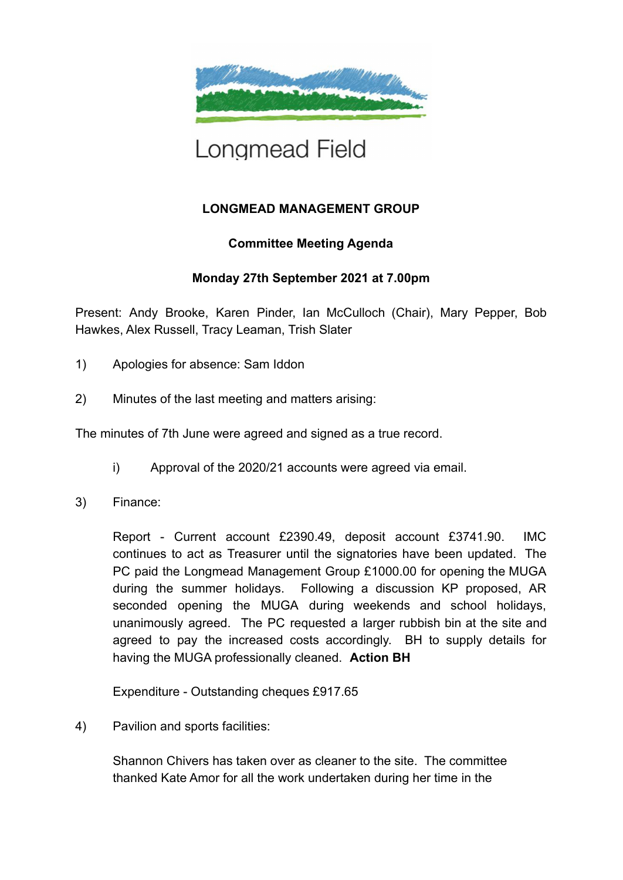

## Longmead Field

## **LONGMEAD MANAGEMENT GROUP**

## **Committee Meeting Agenda**

## **Monday 27th September 2021 at 7.00pm**

Present: Andy Brooke, Karen Pinder, Ian McCulloch (Chair), Mary Pepper, Bob Hawkes, Alex Russell, Tracy Leaman, Trish Slater

- 1) Apologies for absence: Sam Iddon
- 2) Minutes of the last meeting and matters arising:

The minutes of 7th June were agreed and signed as a true record.

- i) Approval of the 2020/21 accounts were agreed via email.
- 3) Finance:

Report - Current account £2390.49, deposit account £3741.90. IMC continues to act as Treasurer until the signatories have been updated. The PC paid the Longmead Management Group £1000.00 for opening the MUGA during the summer holidays. Following a discussion KP proposed, AR seconded opening the MUGA during weekends and school holidays, unanimously agreed. The PC requested a larger rubbish bin at the site and agreed to pay the increased costs accordingly. BH to supply details for having the MUGA professionally cleaned. **Action BH**

Expenditure - Outstanding cheques £917.65

4) Pavilion and sports facilities:

Shannon Chivers has taken over as cleaner to the site. The committee thanked Kate Amor for all the work undertaken during her time in the